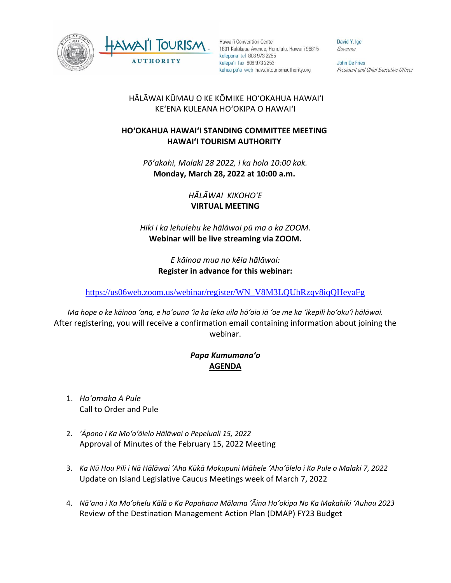



Hawai'i Convention Center 1801 Kalākaua Avenue, Honolulu, Hawai'i 96815 kelepona tel 808 973 2255 kelepa'i fax 808 973 2253 kahua pa'a web hawaiitourismauthority.org

David Y. Ige Governor

**John De Fries** President and Chief Executive Officer

## HĀLĀWAI KŪMAU O KE KŌMIKE HOʻOKAHUA HAWAIʻI KEʻENA KULEANA HOʻOKIPA O HAWAIʻI

## **HOʻOKAHUA HAWAIʻI STANDING COMMITTEE MEETING HAWAI'I TOURISM AUTHORITY**

*Pōʻakahi, Malaki 28 2022, i ka hola 10:00 kak.* **Monday, March 28, 2022 at 10:00 a.m.**

> *HĀLĀWAI KIKOHOʻE* **VIRTUAL MEETING**

*Hiki i ka lehulehu ke hālāwai pū ma o ka ZOOM.*  **Webinar will be live streaming via ZOOM.**

> *E kāinoa mua no kēia hālāwai:* **Register in advance for this webinar:**

[https://us06web.zoom.us/webinar/register/WN\\_V8M3LQUhRzqv8iqQHeyaFg](https://us06web.zoom.us/webinar/register/WN_V8M3LQUhRzqv8iqQHeyaFg)

*Ma hope o ke kāinoa ʻana, e hoʻouna ʻia ka leka uila hōʻoia iā ʻoe me ka ʻikepili hoʻokuʻi hālāwai.* After registering, you will receive a confirmation email containing information about joining the webinar.

## *Papa Kumumanaʻo* **AGENDA**

- 1. *Hoʻomaka A Pule* Call to Order and Pule
- 2. *ʻĀpono I Ka Moʻoʻōlelo Hālāwai o Pepeluali 15, 2022* Approval of Minutes of the February 15, 2022 Meeting
- 3. *Ka Nū Hou Pili i Nā Hālāwai ʻAha Kūkā Mokupuni Māhele ʻAhaʻōlelo i Ka Pule o Malaki 7, 2022* Update on Island Legislative Caucus Meetings week of March 7, 2022
- 4. *Nāʻana i Ka Moʻohelu Kālā o Ka Papahana Mālama ʻĀina Hoʻokipa No Ka Makahiki ʻAuhau 2023* Review of the Destination Management Action Plan (DMAP) FY23 Budget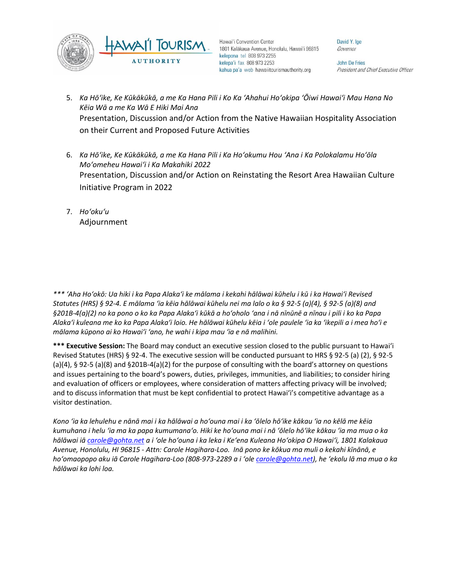

Hawai'i Convention Center 1801 Kalākaua Avenue, Honolulu, Hawai'i 96815 kelepona tel 808 973 2255 kelepa'i fax 808 973 2253 kahua pa'a web hawaiitourismauthority.org

David Y. Ige Governor

**John De Fries** President and Chief Executive Officer

- 5. *Ka Hōʻike, Ke Kūkākūkā, a me Ka Hana Pili i Ko Ka ʻAhahui Hoʻokipa ʻŌiwi Hawaiʻi Mau Hana No Kēia Wā a me Ka Wā E Hiki Mai Ana* Presentation, Discussion and/or Action from the Native Hawaiian Hospitality Association on their Current and Proposed Future Activities
- 6. *Ka Hōʻike, Ke Kūkākūkā, a me Ka Hana Pili i Ka Hoʻokumu Hou ʻAna i Ka Polokalamu Hoʻōla Moʻomeheu Hawaiʻi i Ka Makahiki 2022* Presentation, Discussion and/or Action on Reinstating the Resort Area Hawaiian Culture Initiative Program in 2022
- 7. *Hoʻokuʻu* Adjournment

*\*\*\* ʻAha Hoʻokō: Ua hiki i ka Papa Alakaʻi ke mālama i kekahi hālāwai kūhelu i kū i ka Hawaiʻi Revised Statutes (HRS) § 92-4. E mālama ʻia kēia hālāwai kūhelu nei ma lalo o ka § 92-5 (a)(4), § 92-5 (a)(8) and §201B-4(a)(2) no ka pono o ko ka Papa Alakaʻi kūkā a hoʻoholo ʻana i nā nīnūnē a nīnau i pili i ko ka Papa Alakaʻi kuleana me ko ka Papa Alakaʻi loio. He hālāwai kūhelu kēia i ʻole paulele ʻia ka ʻikepili a i mea hoʻi e mālama kūpono ai ko Hawaiʻi ʻano, he wahi i kipa mau ʻia e nā malihini.*

**\*\*\* Executive Session:** The Board may conduct an executive session closed to the public pursuant to Hawai'i Revised Statutes (HRS) § 92-4. The executive session will be conducted pursuant to HRS § 92-5 (a) (2), § 92-5 (a)(4), § 92-5 (a)(8) and §201B-4(a)(2) for the purpose of consulting with the board's attorney on questions and issues pertaining to the board's powers, duties, privileges, immunities, and liabilities; to consider hiring and evaluation of officers or employees, where consideration of matters affecting privacy will be involved; and to discuss information that must be kept confidential to protect Hawai'i's competitive advantage as a visitor destination.

*Kono ʻia ka lehulehu e nānā mai i ka hālāwai a hoʻouna mai i ka ʻōlelo hōʻike kākau ʻia no kēlā me kēia kumuhana i helu ʻia ma ka papa kumumanaʻo. Hiki ke hoʻouna mai i nā ʻōlelo hōʻike kākau ʻia ma mua o ka hālāwai iā [carole@gohta.net](mailto:carole@gohta.net) a i ʻole hoʻouna i ka leka i Keʻena Kuleana Hoʻokipa O Hawaiʻi, 1801 Kalakaua Avenue, Honolulu, HI 96815 - Attn: Carole Hagihara-Loo. Inā pono ke kōkua ma muli o kekahi kīnānā, e hoʻomaopopo aku iā Carole Hagihara-Loo (808-973-2289 a i ʻole [carole@gohta.net](mailto:carole@gohta.net)), he ʻekolu lā ma mua o ka hālāwai ka lohi loa.*